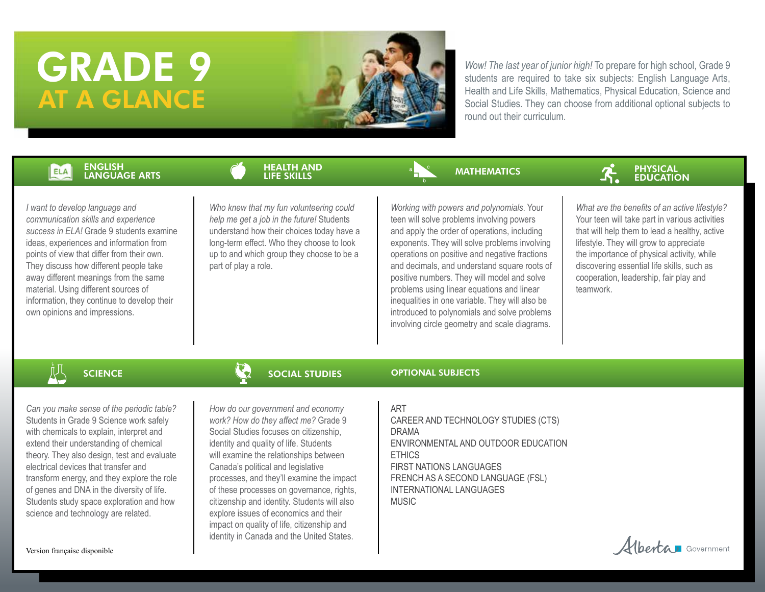# GRADE 9 AT A GLANCE



*Wow! The last year of junior high!* To prepare for high school, Grade 9 students are required to take six subjects: English Language Arts, Health and Life Skills, Mathematics, Physical Education, Science and Social Studies. They can choose from additional optional subjects to round out their curriculum.

### ENGLISH ELA LANGUAGE ARTS

HEALTH AND LIFE SKILLS

*I want to develop language and communication skills and experience success in ELA!* Grade 9 students examine ideas, experiences and information from points of view that differ from their own. They discuss how different people take away different meanings from the same material. Using different sources of information, they continue to develop their own opinions and impressions.

*Who knew that my fun volunteering could help me get a job in the future!* Students understand how their choices today have a long-term effect. Who they choose to look up to and which group they choose to be a part of play a role.

# **MATHEMATICS**



*Working with powers and polynomials*. Your teen will solve problems involving powers and apply the order of operations, including exponents. They will solve problems involving operations on positive and negative fractions and decimals, and understand square roots of positive numbers. They will model and solve problems using linear equations and linear inequalities in one variable. They will also be introduced to polynomials and solve problems involving circle geometry and scale diagrams.

*What are the benefits of an active lifestyle?* Your teen will take part in various activities that will help them to lead a healthy, active lifestyle. They will grow to appreciate the importance of physical activity, while discovering essential life skills, such as cooperation, leadership, fair play and teamwork.

**SCIENCE** 

*Can you make sense of the periodic table?*  Students in Grade 9 Science work safely with chemicals to explain, interpret and extend their understanding of chemical theory. They also design, test and evaluate electrical devices that transfer and transform energy, and they explore the role of genes and DNA in the diversity of life. Students study space exploration and how science and technology are related.

# SOCIAL STUDIES

*How do our government and economy work? How do they affect me?* Grade 9 Social Studies focuses on citizenship, identity and quality of life. Students will examine the relationships between Canada's political and legislative processes, and they'll examine the impact of these processes on governance, rights, citizenship and identity. Students will also explore issues of economics and their impact on quality of life, citizenship and identity in Canada and the United States.

## ART

OPTIONAL SUBJECTS

CAREER AND TECHNOLOGY STUDIES (CTS) DRAMA ENVIRONMENTAL AND OUTDOOR EDUCATION ETHICS FIRST NATIONS LANGUAGES FRENCH AS A SECOND LANGUAGE (FSL) INTERNATIONAL LANGUAGES MUSIC